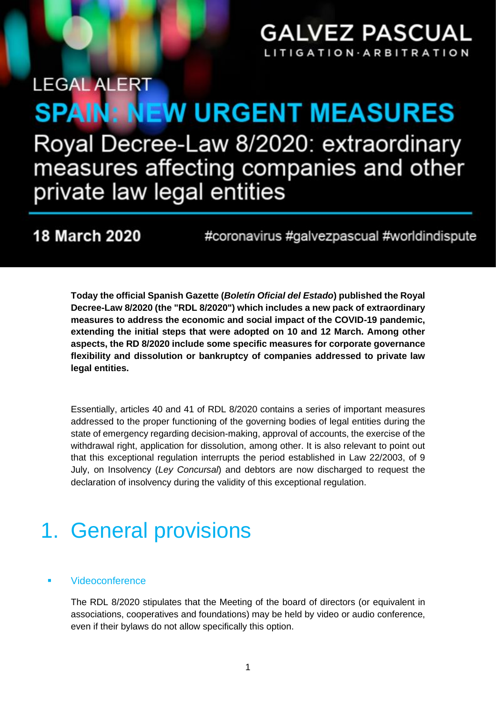### **GALVEZ PASCUAL** TIGATION ARBITR

# **LEGAL ALERT SPAIN: NEW URGENT MEASURES** Royal Decree-Law 8/2020: extraordinary measures affecting companies and other private law legal entities

### **18 March 2020**

#coronavirus #galvezpascual #worldindispute

**Today the official Spanish Gazette (***Boletín Oficial del Estado***) published the Royal Decree-Law 8/2020 (the "RDL 8/2020") which includes a new pack of extraordinary measures to address the economic and social impact of the COVID-19 pandemic, extending the initial steps that were adopted on 10 and 12 March. Among other aspects, the RD 8/2020 include some specific measures for corporate governance flexibility and dissolution or bankruptcy of companies addressed to private law legal entities.**

Essentially, articles 40 and 41 of RDL 8/2020 contains a series of important measures addressed to the proper functioning of the governing bodies of legal entities during the state of emergency regarding decision-making, approval of accounts, the exercise of the withdrawal right, application for dissolution, among other. It is also relevant to point out that this exceptional regulation interrupts the period established in Law 22/2003, of 9 July, on Insolvency (*Ley Concursal*) and debtors are now discharged to request the declaration of insolvency during the validity of this exceptional regulation.

# 1. General provisions

#### **Videoconference**

The RDL 8/2020 stipulates that the Meeting of the board of directors (or equivalent in associations, cooperatives and foundations) may be held by video or audio conference, even if their bylaws do not allow specifically this option.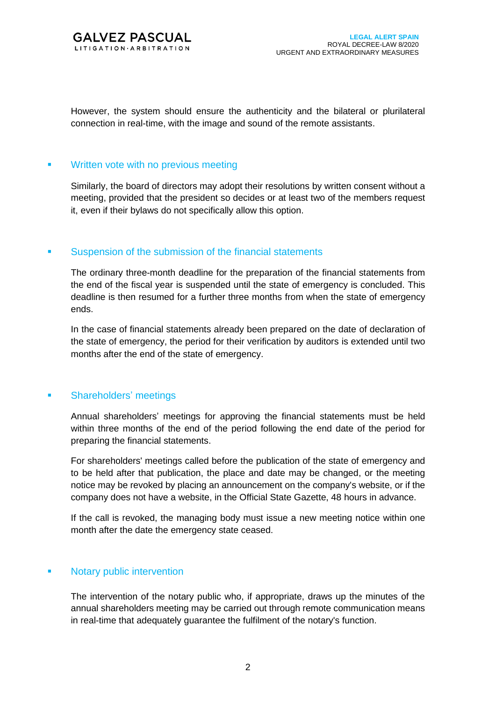

However, the system should ensure the authenticity and the bilateral or plurilateral connection in real-time, with the image and sound of the remote assistants.

#### **• Written vote with no previous meeting**

Similarly, the board of directors may adopt their resolutions by written consent without a meeting, provided that the president so decides or at least two of the members request it, even if their bylaws do not specifically allow this option.

#### ■ Suspension of the submission of the financial statements

The ordinary three-month deadline for the preparation of the financial statements from the end of the fiscal year is suspended until the state of emergency is concluded. This deadline is then resumed for a further three months from when the state of emergency ends.

In the case of financial statements already been prepared on the date of declaration of the state of emergency, the period for their verification by auditors is extended until two months after the end of the state of emergency.

#### ▪ Shareholders' meetings

Annual shareholders' meetings for approving the financial statements must be held within three months of the end of the period following the end date of the period for preparing the financial statements.

For shareholders' meetings called before the publication of the state of emergency and to be held after that publication, the place and date may be changed, or the meeting notice may be revoked by placing an announcement on the company's website, or if the company does not have a website, in the Official State Gazette, 48 hours in advance.

If the call is revoked, the managing body must issue a new meeting notice within one month after the date the emergency state ceased.

#### ▪ Notary public intervention

The intervention of the notary public who, if appropriate, draws up the minutes of the annual shareholders meeting may be carried out through remote communication means in real-time that adequately guarantee the fulfilment of the notary's function.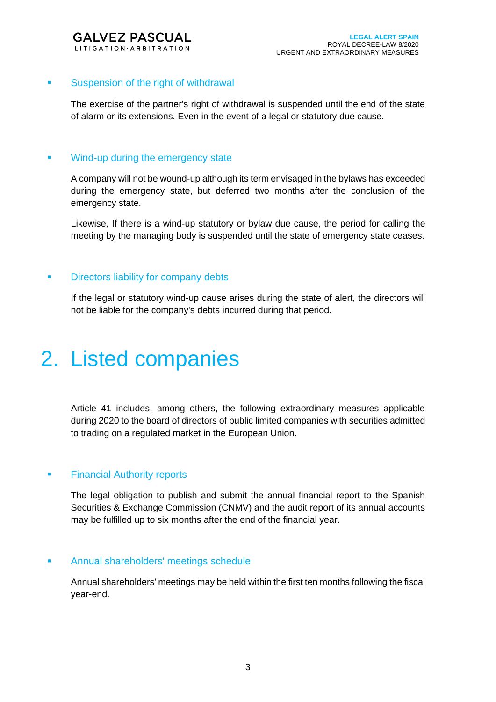

#### **• Suspension of the right of withdrawal**

The exercise of the partner's right of withdrawal is suspended until the end of the state of alarm or its extensions. Even in the event of a legal or statutory due cause.

#### **■** Wind-up during the emergency state

A company will not be wound-up although its term envisaged in the bylaws has exceeded during the emergency state, but deferred two months after the conclusion of the emergency state.

Likewise, If there is a wind-up statutory or bylaw due cause, the period for calling the meeting by the managing body is suspended until the state of emergency state ceases.

#### **• Directors liability for company debts**

If the legal or statutory wind-up cause arises during the state of alert, the directors will not be liable for the company's debts incurred during that period.

## 2. Listed companies

Article 41 includes, among others, the following extraordinary measures applicable during 2020 to the board of directors of public limited companies with securities admitted to trading on a regulated market in the European Union.

#### **• Financial Authority reports**

The legal obligation to publish and submit the annual financial report to the Spanish Securities & Exchange Commission (CNMV) and the audit report of its annual accounts may be fulfilled up to six months after the end of the financial year.

#### **EXECUTE:** Annual shareholders' meetings schedule

Annual shareholders' meetings may be held within the first ten months following the fiscal year-end.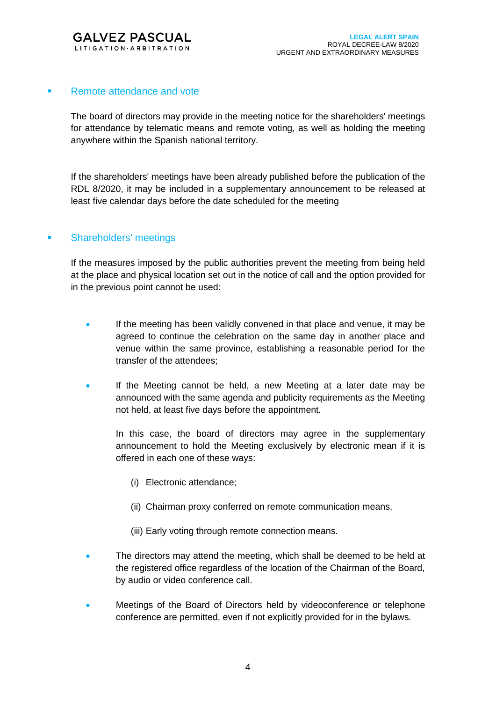

#### ■ Remote attendance and vote

The board of directors may provide in the meeting notice for the shareholders' meetings for attendance by telematic means and remote voting, as well as holding the meeting anywhere within the Spanish national territory.

If the shareholders' meetings have been already published before the publication of the RDL 8/2020, it may be included in a supplementary announcement to be released at least five calendar days before the date scheduled for the meeting

#### **• Shareholders' meetings**

If the measures imposed by the public authorities prevent the meeting from being held at the place and physical location set out in the notice of call and the option provided for in the previous point cannot be used:

- If the meeting has been validly convened in that place and venue, it may be agreed to continue the celebration on the same day in another place and venue within the same province, establishing a reasonable period for the transfer of the attendees;
- If the Meeting cannot be held, a new Meeting at a later date may be announced with the same agenda and publicity requirements as the Meeting not held, at least five days before the appointment.

In this case, the board of directors may agree in the supplementary announcement to hold the Meeting exclusively by electronic mean if it is offered in each one of these ways:

- (i) Electronic attendance;
- (ii) Chairman proxy conferred on remote communication means,
- (iii) Early voting through remote connection means.
- The directors may attend the meeting, which shall be deemed to be held at the registered office regardless of the location of the Chairman of the Board, by audio or video conference call.
- Meetings of the Board of Directors held by videoconference or telephone conference are permitted, even if not explicitly provided for in the bylaws.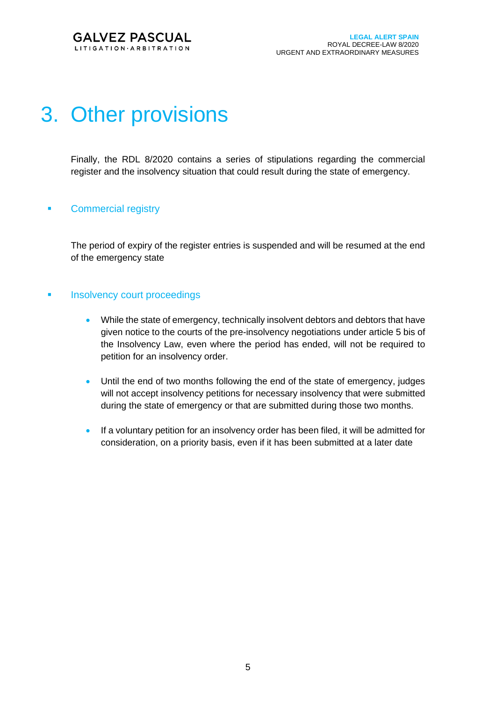

# 3. Other provisions

Finally, the RDL 8/2020 contains a series of stipulations regarding the commercial register and the insolvency situation that could result during the state of emergency.

#### **• Commercial registry**

The period of expiry of the register entries is suspended and will be resumed at the end of the emergency state

#### **• Insolvency court proceedings**

- While the state of emergency, technically insolvent debtors and debtors that have given notice to the courts of the pre-insolvency negotiations under article 5 bis of the Insolvency Law, even where the period has ended, will not be required to petition for an insolvency order.
- Until the end of two months following the end of the state of emergency, judges will not accept insolvency petitions for necessary insolvency that were submitted during the state of emergency or that are submitted during those two months.
- If a voluntary petition for an insolvency order has been filed, it will be admitted for consideration, on a priority basis, even if it has been submitted at a later date